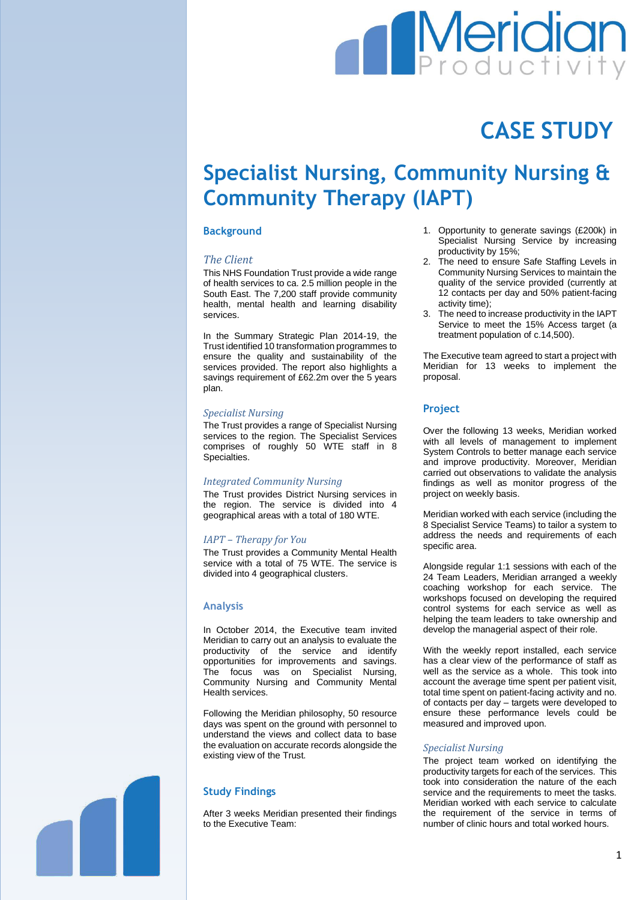# **Meridian**

## **CASE STUDY**

### **Specialist Nursing, Community Nursing & Community Therapy (IAPT)**

#### **Background**

#### *The Client*

This NHS Foundation Trust provide a wide range of health services to ca. 2.5 million people in the South East. The 7,200 staff provide community health, mental health and learning disability services.

In the Summary Strategic Plan 2014-19, the Trust identified 10 transformation programmes to ensure the quality and sustainability of the services provided. The report also highlights a savings requirement of £62.2m over the 5 years plan.

#### *Specialist Nursing*

The Trust provides a range of Specialist Nursing services to the region. The Specialist Services comprises of roughly 50 WTE staff in 8 Specialties.

#### *Integrated Community Nursing*

The Trust provides District Nursing services in the region. The service is divided into 4 geographical areas with a total of 180 WTE.

#### *IAPT – Therapy for You*

The Trust provides a Community Mental Health service with a total of 75 WTE. The service is divided into 4 geographical clusters.

#### **Analysis**

In October 2014, the Executive team invited Meridian to carry out an analysis to evaluate the productivity of the service and identify opportunities for improvements and savings. The focus was on Specialist Nursing, Community Nursing and Community Mental Health services.

Following the Meridian philosophy, 50 resource days was spent on the ground with personnel to understand the views and collect data to base the evaluation on accurate records alongside the existing view of the Trust.

#### **Study Findings**

After 3 weeks Meridian presented their findings to the Executive Team:

- 1. Opportunity to generate savings (£200k) in Specialist Nursing Service by increasing productivity by 15%;
- 2. The need to ensure Safe Staffing Levels in Community Nursing Services to maintain the quality of the service provided (currently at 12 contacts per day and 50% patient-facing activity time);
- 3. The need to increase productivity in the IAPT Service to meet the 15% Access target (a treatment population of c.14,500).

The Executive team agreed to start a project with Meridian for 13 weeks to implement the proposal.

#### **Project**

Over the following 13 weeks, Meridian worked with all levels of management to implement System Controls to better manage each service and improve productivity. Moreover, Meridian carried out observations to validate the analysis findings as well as monitor progress of the project on weekly basis.

Meridian worked with each service (including the 8 Specialist Service Teams) to tailor a system to address the needs and requirements of each specific area.

Alongside regular 1:1 sessions with each of the 24 Team Leaders, Meridian arranged a weekly coaching workshop for each service. The workshops focused on developing the required control systems for each service as well as helping the team leaders to take ownership and develop the managerial aspect of their role.

With the weekly report installed, each service has a clear view of the performance of staff as well as the service as a whole. This took into account the average time spent per patient visit, total time spent on patient-facing activity and no. of contacts per day – targets were developed to ensure these performance levels could be measured and improved upon.

#### *Specialist Nursing*

The project team worked on identifying the productivity targets for each of the services. This took into consideration the nature of the each service and the requirements to meet the tasks. Meridian worked with each service to calculate the requirement of the service in terms of number of clinic hours and total worked hours.